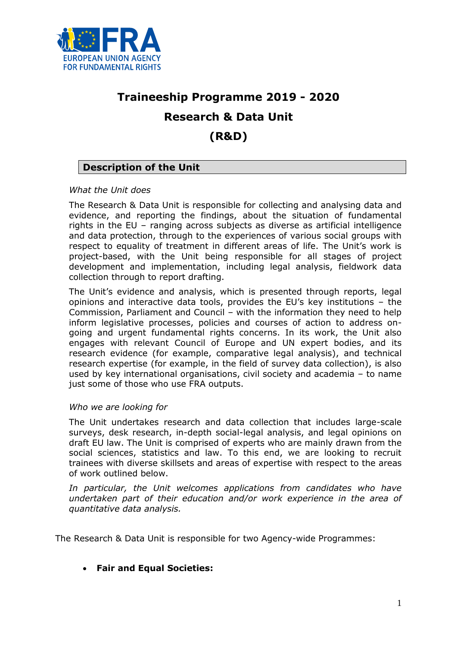

# **Traineeship Programme 2019 - 2020 Research & Data Unit (R&D)**

# **Description of the Unit**

## *What the Unit does*

The Research & Data Unit is responsible for collecting and analysing data and evidence, and reporting the findings, about the situation of fundamental rights in the EU – ranging across subjects as diverse as artificial intelligence and data protection, through to the experiences of various social groups with respect to equality of treatment in different areas of life. The Unit's work is project-based, with the Unit being responsible for all stages of project development and implementation, including legal analysis, fieldwork data collection through to report drafting.

The Unit's evidence and analysis, which is presented through reports, legal opinions and interactive data tools, provides the EU's key institutions – the Commission, Parliament and Council – with the information they need to help inform legislative processes, policies and courses of action to address ongoing and urgent fundamental rights concerns. In its work, the Unit also engages with relevant Council of Europe and UN expert bodies, and its research evidence (for example, comparative legal analysis), and technical research expertise (for example, in the field of survey data collection), is also used by key international organisations, civil society and academia – to name just some of those who use FRA outputs.

#### *Who we are looking for*

The Unit undertakes research and data collection that includes large-scale surveys, desk research, in-depth social-legal analysis, and legal opinions on draft EU law. The Unit is comprised of experts who are mainly drawn from the social sciences, statistics and law. To this end, we are looking to recruit trainees with diverse skillsets and areas of expertise with respect to the areas of work outlined below.

In particular, the Unit welcomes applications from candidates who have *undertaken part of their education and/or work experience in the area of quantitative data analysis.*

The Research & Data Unit is responsible for two Agency-wide Programmes:

**Fair and Equal Societies:**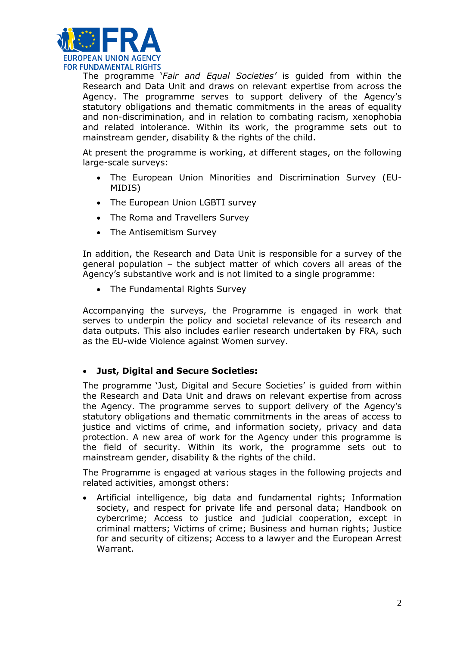

The programme '*Fair and Equal Societies'* is guided from within the Research and Data Unit and draws on relevant expertise from across the Agency. The programme serves to support delivery of the Agency's statutory obligations and thematic commitments in the areas of equality and non-discrimination, and in relation to combating racism, xenophobia and related intolerance. Within its work, the programme sets out to mainstream gender, disability & the rights of the child.

At present the programme is working, at different stages, on the following large-scale surveys:

- The European Union Minorities and Discrimination Survey (EU-MIDIS)
- The European Union LGBTI survey
- The Roma and Travellers Survey
- The Antisemitism Survey

In addition, the Research and Data Unit is responsible for a survey of the general population – the subject matter of which covers all areas of the Agency's substantive work and is not limited to a single programme:

The Fundamental Rights Survey

Accompanying the surveys, the Programme is engaged in work that serves to underpin the policy and societal relevance of its research and data outputs. This also includes earlier research undertaken by FRA, such as the EU-wide Violence against Women survey.

## **Just, Digital and Secure Societies:**

The programme 'Just, Digital and Secure Societies' is guided from within the Research and Data Unit and draws on relevant expertise from across the Agency. The programme serves to support delivery of the Agency's statutory obligations and thematic commitments in the areas of access to justice and victims of crime, and information society, privacy and data protection. A new area of work for the Agency under this programme is the field of security. Within its work, the programme sets out to mainstream gender, disability & the rights of the child.

The Programme is engaged at various stages in the following projects and related activities, amongst others:

 Artificial intelligence, big data and fundamental rights; Information society, and respect for private life and personal data; Handbook on cybercrime; Access to justice and judicial cooperation, except in criminal matters; Victims of crime; Business and human rights; Justice for and security of citizens; Access to a lawyer and the European Arrest Warrant.